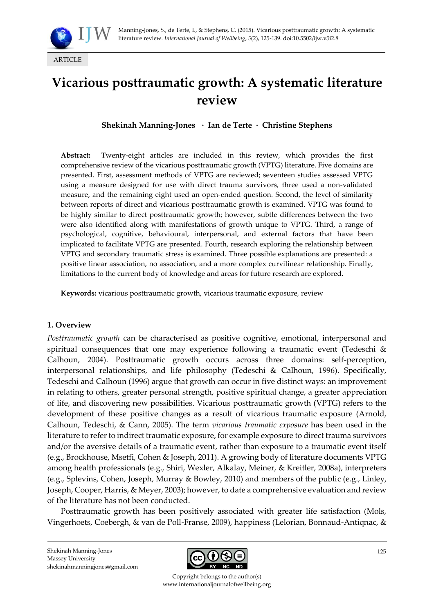

# **Vicarious posttraumatic growth: A systematic literature review**

**Shekinah Manning-Jones · Ian de Terte · Christine Stephens**

**Abstract:** Twenty-eight articles are included in this review, which provides the first comprehensive review of the vicarious posttraumatic growth (VPTG) literature. Five domains are presented. First, assessment methods of VPTG are reviewed; seventeen studies assessed VPTG using a measure designed for use with direct trauma survivors, three used a non-validated measure, and the remaining eight used an open-ended question. Second, the level of similarity between reports of direct and vicarious posttraumatic growth is examined. VPTG was found to be highly similar to direct posttraumatic growth; however, subtle differences between the two were also identified along with manifestations of growth unique to VPTG. Third, a range of psychological, cognitive, behavioural, interpersonal, and external factors that have been implicated to facilitate VPTG are presented. Fourth, research exploring the relationship between VPTG and secondary traumatic stress is examined. Three possible explanations are presented: a positive linear association, no association, and a more complex curvilinear relationship. Finally, limitations to the current body of knowledge and areas for future research are explored.

**Keywords:** vicarious posttraumatic growth, vicarious traumatic exposure, review

## **1. Overview**

*Posttraumatic growth* can be characterised as positive cognitive, emotional, interpersonal and spiritual consequences that one may experience following a traumatic event (Tedeschi & Calhoun, 2004). Posttraumatic growth occurs across three domains: self-perception, interpersonal relationships, and life philosophy (Tedeschi & Calhoun, 1996). Specifically, Tedeschi and Calhoun (1996) argue that growth can occur in five distinct ways: an improvement in relating to others, greater personal strength, positive spiritual change, a greater appreciation of life, and discovering new possibilities. Vicarious posttraumatic growth (VPTG) refers to the development of these positive changes as a result of vicarious traumatic exposure (Arnold, Calhoun, Tedeschi, & Cann, 2005). The term *vicarious traumatic exposure* has been used in the literature to refer to indirect traumatic exposure, for example exposure to direct trauma survivors and/or the aversive details of a traumatic event, rather than exposure to a traumatic event itself (e.g., Brockhouse, Msetfi, Cohen & Joseph, 2011). A growing body of literature documents VPTG among health professionals (e.g., Shiri, Wexler, Alkalay, Meiner, & Kreitler, 2008a), interpreters (e.g., Splevins, Cohen, Joseph, Murray & Bowley, 2010) and members of the public (e.g., Linley, Joseph, Cooper, Harris, & Meyer, 2003); however, to date a comprehensive evaluation and review of the literature has not been conducted.

Posttraumatic growth has been positively associated with greater life satisfaction (Mols, Vingerhoets, Coebergh, & van de Poll-Franse, 2009), happiness (Lelorian, Bonnaud-Antiqnac, &



Copyright belongs to the author(s) www.internationaljournalofwellbeing.org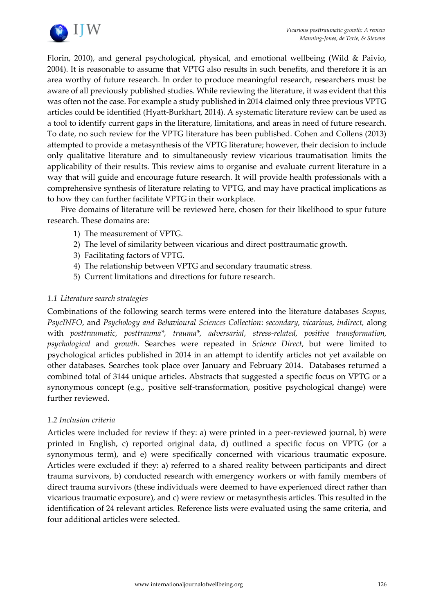

Florin, 2010), and general psychological, physical, and emotional wellbeing (Wild & Paivio, 2004). It is reasonable to assume that VPTG also results in such benefits, and therefore it is an area worthy of future research. In order to produce meaningful research, researchers must be aware of all previously published studies. While reviewing the literature, it was evident that this was often not the case. For example a study published in 2014 claimed only three previous VPTG articles could be identified (Hyatt-Burkhart, 2014). A systematic literature review can be used as a tool to identify current gaps in the literature, limitations, and areas in need of future research. To date, no such review for the VPTG literature has been published. Cohen and Collens (2013) attempted to provide a metasynthesis of the VPTG literature; however, their decision to include only qualitative literature and to simultaneously review vicarious traumatisation limits the applicability of their results. This review aims to organise and evaluate current literature in a way that will guide and encourage future research. It will provide health professionals with a comprehensive synthesis of literature relating to VPTG, and may have practical implications as to how they can further facilitate VPTG in their workplace.

Five domains of literature will be reviewed here, chosen for their likelihood to spur future research. These domains are:

- 1) The measurement of VPTG.
- 2) The level of similarity between vicarious and direct posttraumatic growth.
- 3) Facilitating factors of VPTG.
- 4) The relationship between VPTG and secondary traumatic stress.
- 5) Current limitations and directions for future research.

## *1.1 Literature search strategies*

Combinations of the following search terms were entered into the literature databases *Scopus, PsycINFO*, and *Psychology and Behavioural Sciences Collection*: *secondary, vicarious*, *indirect,* along with *posttraumatic, posttrauma\*, trauma\*, adversarial, stress-related, positive transformation, psychological* and *growth.* Searches were repeated in *Science Direct,* but were limited to psychological articles published in 2014 in an attempt to identify articles not yet available on other databases. Searches took place over January and February 2014. Databases returned a combined total of 3144 unique articles. Abstracts that suggested a specific focus on VPTG or a synonymous concept (e.g., positive self-transformation, positive psychological change) were further reviewed.

## *1.2 Inclusion criteria*

Articles were included for review if they: a) were printed in a peer-reviewed journal, b) were printed in English, c) reported original data, d) outlined a specific focus on VPTG (or a synonymous term), and e) were specifically concerned with vicarious traumatic exposure. Articles were excluded if they: a) referred to a shared reality between participants and direct trauma survivors, b) conducted research with emergency workers or with family members of direct trauma survivors (these individuals were deemed to have experienced direct rather than vicarious traumatic exposure), and c) were review or metasynthesis articles. This resulted in the identification of 24 relevant articles. Reference lists were evaluated using the same criteria, and four additional articles were selected.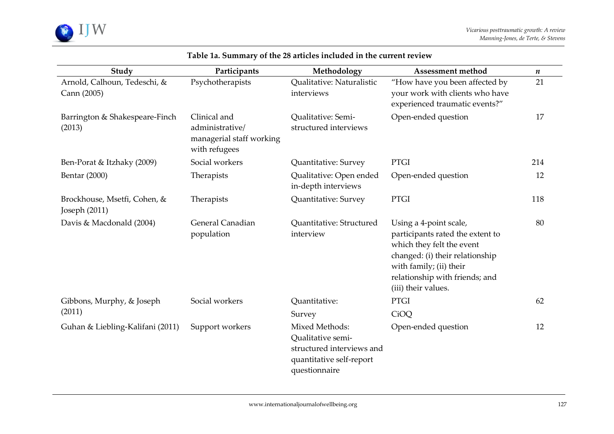

| Study                                           | Participants                                                                 | Methodology                                                                                                   | Assessment method                                                                                                                                                                                              | $\boldsymbol{n}$ |
|-------------------------------------------------|------------------------------------------------------------------------------|---------------------------------------------------------------------------------------------------------------|----------------------------------------------------------------------------------------------------------------------------------------------------------------------------------------------------------------|------------------|
| Arnold, Calhoun, Tedeschi, &<br>Cann (2005)     | Psychotherapists                                                             | Qualitative: Naturalistic<br>interviews                                                                       | "How have you been affected by<br>your work with clients who have<br>experienced traumatic events?"                                                                                                            | 21               |
| Barrington & Shakespeare-Finch<br>(2013)        | Clinical and<br>administrative/<br>managerial staff working<br>with refugees | Qualitative: Semi-<br>structured interviews                                                                   | Open-ended question                                                                                                                                                                                            | 17               |
| Ben-Porat & Itzhaky (2009)                      | Social workers                                                               | Quantitative: Survey                                                                                          | <b>PTGI</b>                                                                                                                                                                                                    | 214              |
| Bentar (2000)                                   | Therapists                                                                   | Qualitative: Open ended<br>in-depth interviews                                                                | Open-ended question                                                                                                                                                                                            | 12               |
| Brockhouse, Msetfi, Cohen, &<br>Joseph $(2011)$ | Therapists                                                                   | Quantitative: Survey                                                                                          | <b>PTGI</b>                                                                                                                                                                                                    | 118              |
| Davis & Macdonald (2004)                        | General Canadian<br>population                                               | Quantitative: Structured<br>interview                                                                         | Using a 4-point scale,<br>participants rated the extent to<br>which they felt the event<br>changed: (i) their relationship<br>with family; (ii) their<br>relationship with friends; and<br>(iii) their values. | 80               |
| Gibbons, Murphy, & Joseph<br>(2011)             | Social workers                                                               | Quantitative:                                                                                                 | <b>PTGI</b>                                                                                                                                                                                                    | 62               |
|                                                 |                                                                              | Survey                                                                                                        | CiOQ                                                                                                                                                                                                           |                  |
| Guhan & Liebling-Kalifani (2011)                | Support workers                                                              | Mixed Methods:<br>Qualitative semi-<br>structured interviews and<br>quantitative self-report<br>questionnaire | Open-ended question                                                                                                                                                                                            | 12               |

# **Table 1a. Summary of the 28 articles included in the current review**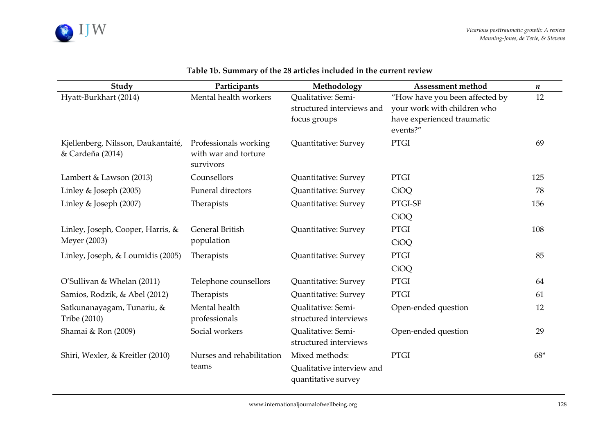

| Study                                                  | Participants                                               | Methodology                                      | <b>Assessment method</b>               | $\pmb{n}$ |
|--------------------------------------------------------|------------------------------------------------------------|--------------------------------------------------|----------------------------------------|-----------|
| Hyatt-Burkhart (2014)                                  | Mental health workers                                      | Qualitative: Semi-                               | "How have you been affected by         | 12        |
|                                                        |                                                            | structured interviews and                        | your work with children who            |           |
|                                                        |                                                            | focus groups                                     | have experienced traumatic<br>events?" |           |
| Kjellenberg, Nilsson, Daukantaité,<br>& Cardeña (2014) | Professionals working<br>with war and torture<br>survivors | Quantitative: Survey                             | <b>PTGI</b>                            | 69        |
| Lambert & Lawson (2013)                                | Counsellors                                                | Quantitative: Survey                             | PTGI                                   | 125       |
| Linley & Joseph (2005)                                 | Funeral directors                                          | Quantitative: Survey                             | CiOQ                                   | 78        |
| Linley & Joseph (2007)                                 | Therapists                                                 | Quantitative: Survey                             | PTGI-SF                                | 156       |
|                                                        |                                                            |                                                  | CiOQ                                   |           |
| Linley, Joseph, Cooper, Harris, &<br>Meyer (2003)      | <b>General British</b><br>population                       | Quantitative: Survey                             | <b>PTGI</b>                            | 108       |
|                                                        |                                                            |                                                  | CiOQ                                   |           |
| Linley, Joseph, & Loumidis (2005)                      | Therapists                                                 | Quantitative: Survey                             | <b>PTGI</b>                            | 85        |
|                                                        |                                                            |                                                  | CiOQ                                   |           |
| O'Sullivan & Whelan (2011)                             | Telephone counsellors                                      | Quantitative: Survey                             | <b>PTGI</b>                            | 64        |
| Samios, Rodzik, & Abel (2012)                          | Therapists                                                 | Quantitative: Survey                             | <b>PTGI</b>                            | 61        |
| Satkunanayagam, Tunariu, &<br>Tribe (2010)             | Mental health<br>professionals                             | Qualitative: Semi-<br>structured interviews      | Open-ended question                    | 12        |
| Shamai & Ron (2009)                                    | Social workers                                             | Qualitative: Semi-<br>structured interviews      | Open-ended question                    | 29        |
| Shiri, Wexler, & Kreitler (2010)                       | Nurses and rehabilitation                                  | Mixed methods:                                   | <b>PTGI</b>                            | $68*$     |
|                                                        | teams                                                      | Qualitative interview and<br>quantitative survey |                                        |           |

# **Table 1b. Summary of the 28 articles included in the current review**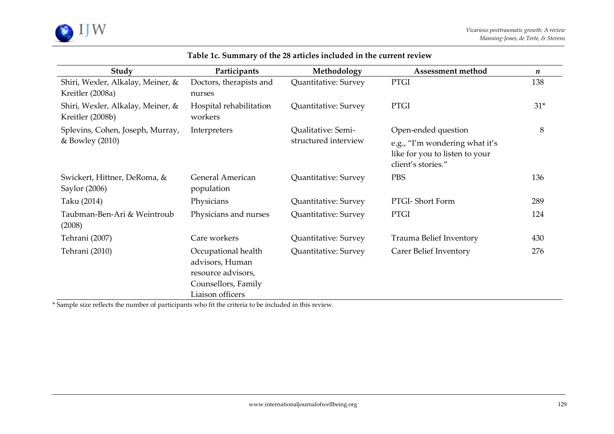

| Study                                                 | Participants                                                                                            | Methodology                                | Assessment method                                                                      | $\boldsymbol{n}$ |
|-------------------------------------------------------|---------------------------------------------------------------------------------------------------------|--------------------------------------------|----------------------------------------------------------------------------------------|------------------|
| Shiri, Wexler, Alkalay, Meiner, &<br>Kreitler (2008a) | Doctors, therapists and<br>nurses                                                                       | Quantitative: Survey                       | <b>PTGI</b>                                                                            | 138              |
| Shiri, Wexler, Alkalay, Meiner, &<br>Kreitler (2008b) | Hospital rehabilitation<br>workers                                                                      | Quantitative: Survey                       | <b>PTGI</b>                                                                            | $31*$            |
| Splevins, Cohen, Joseph, Murray,<br>& Bowley (2010)   | Interpreters                                                                                            | Qualitative: Semi-<br>structured interview | Open-ended question                                                                    | 8                |
|                                                       |                                                                                                         |                                            | e.g., "I'm wondering what it's<br>like for you to listen to your<br>client's stories." |                  |
| Swickert, Hittner, DeRoma, &<br>Saylor (2006)         | General American<br>population                                                                          | Quantitative: Survey                       | <b>PBS</b>                                                                             | 136              |
| Taku (2014)                                           | Physicians                                                                                              | Quantitative: Survey                       | PTGI-Short Form                                                                        | 289              |
| Taubman-Ben-Ari & Weintroub<br>(2008)                 | Physicians and nurses                                                                                   | Quantitative: Survey                       | <b>PTGI</b>                                                                            | 124              |
| Tehrani (2007)                                        | Care workers                                                                                            | Quantitative: Survey                       | Trauma Belief Inventory                                                                | 430              |
| Tehrani (2010)                                        | Occupational health<br>advisors, Human<br>resource advisors,<br>Counsellors, Family<br>Liaison officers | Quantitative: Survey                       | Carer Belief Inventory                                                                 | 276              |

# **Table 1c. Summary of the 28 articles included in the current review**

\* Sample size reflects the number of participants who fit the criteria to be included in this review.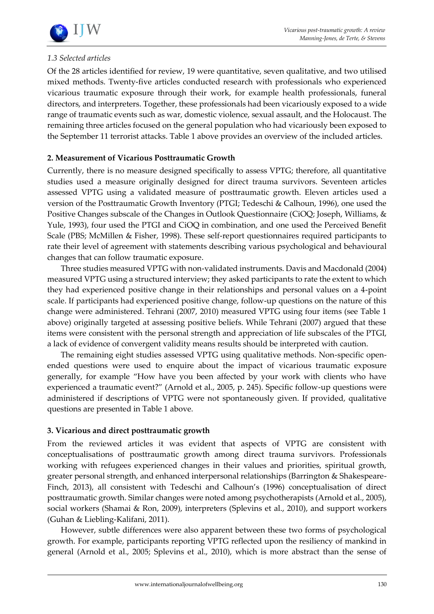

# *1.3 Selected articles*

Of the 28 articles identified for review, 19 were quantitative, seven qualitative, and two utilised mixed methods. Twenty-five articles conducted research with professionals who experienced vicarious traumatic exposure through their work, for example health professionals, funeral directors, and interpreters. Together, these professionals had been vicariously exposed to a wide range of traumatic events such as war, domestic violence, sexual assault, and the Holocaust. The remaining three articles focused on the general population who had vicariously been exposed to the September 11 terrorist attacks. Table 1 above provides an overview of the included articles.

# **2. Measurement of Vicarious Posttraumatic Growth**

Currently, there is no measure designed specifically to assess VPTG; therefore, all quantitative studies used a measure originally designed for direct trauma survivors. Seventeen articles assessed VPTG using a validated measure of posttraumatic growth. Eleven articles used a version of the Posttraumatic Growth Inventory (PTGI; Tedeschi & Calhoun, 1996), one used the Positive Changes subscale of the Changes in Outlook Questionnaire (CiOQ; Joseph, Williams, & Yule, 1993), four used the PTGI and CiOQ in combination, and one used the Perceived Benefit Scale (PBS; McMillen & Fisher, 1998). These self-report questionnaires required participants to rate their level of agreement with statements describing various psychological and behavioural changes that can follow traumatic exposure.

Three studies measured VPTG with non-validated instruments. Davis and Macdonald (2004) measured VPTG using a structured interview; they asked participants to rate the extent to which they had experienced positive change in their relationships and personal values on a 4-point scale. If participants had experienced positive change, follow-up questions on the nature of this change were administered. Tehrani (2007, 2010) measured VPTG using four items (see Table 1 above) originally targeted at assessing positive beliefs. While Tehrani (2007) argued that these items were consistent with the personal strength and appreciation of life subscales of the PTGI, a lack of evidence of convergent validity means results should be interpreted with caution.

The remaining eight studies assessed VPTG using qualitative methods. Non-specific openended questions were used to enquire about the impact of vicarious traumatic exposure generally, for example "How have you been affected by your work with clients who have experienced a traumatic event?" (Arnold et al., 2005, p. 245). Specific follow-up questions were administered if descriptions of VPTG were not spontaneously given. If provided, qualitative questions are presented in Table 1 above.

# **3. Vicarious and direct posttraumatic growth**

From the reviewed articles it was evident that aspects of VPTG are consistent with conceptualisations of posttraumatic growth among direct trauma survivors. Professionals working with refugees experienced changes in their values and priorities, spiritual growth, greater personal strength, and enhanced interpersonal relationships (Barrington & Shakespeare-Finch, 2013), all consistent with Tedeschi and Calhoun's (1996) conceptualisation of direct posttraumatic growth. Similar changes were noted among psychotherapists (Arnold et al., 2005), social workers (Shamai & Ron, 2009), interpreters (Splevins et al., 2010), and support workers (Guhan & Liebling-Kalifani, 2011).

However, subtle differences were also apparent between these two forms of psychological growth. For example, participants reporting VPTG reflected upon the resiliency of mankind in general (Arnold et al., 2005; Splevins et al., 2010), which is more abstract than the sense of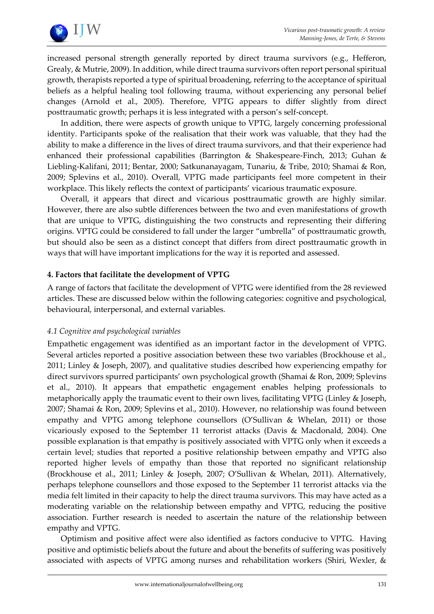

increased personal strength generally reported by direct trauma survivors (e.g., Hefferon, Grealy, & Mutrie, 2009). In addition, while direct trauma survivors often report personal spiritual growth, therapists reported a type of spiritual broadening, referring to the acceptance of spiritual beliefs as a helpful healing tool following trauma, without experiencing any personal belief changes (Arnold et al., 2005). Therefore, VPTG appears to differ slightly from direct posttraumatic growth; perhaps it is less integrated with a person's self-concept.

In addition, there were aspects of growth unique to VPTG, largely concerning professional identity. Participants spoke of the realisation that their work was valuable, that they had the ability to make a difference in the lives of direct trauma survivors, and that their experience had enhanced their professional capabilities (Barrington & Shakespeare-Finch, 2013; Guhan & Liebling-Kalifani, 2011; Bentar, 2000; Satkunanayagam, Tunariu, & Tribe, 2010; Shamai & Ron, 2009; Splevins et al., 2010). Overall, VPTG made participants feel more competent in their workplace. This likely reflects the context of participants' vicarious traumatic exposure.

Overall, it appears that direct and vicarious posttraumatic growth are highly similar. However, there are also subtle differences between the two and even manifestations of growth that are unique to VPTG, distinguishing the two constructs and representing their differing origins. VPTG could be considered to fall under the larger "umbrella" of posttraumatic growth, but should also be seen as a distinct concept that differs from direct posttraumatic growth in ways that will have important implications for the way it is reported and assessed.

# **4. Factors that facilitate the development of VPTG**

A range of factors that facilitate the development of VPTG were identified from the 28 reviewed articles. These are discussed below within the following categories: cognitive and psychological, behavioural, interpersonal, and external variables.

## *4.1 Cognitive and psychological variables*

Empathetic engagement was identified as an important factor in the development of VPTG. Several articles reported a positive association between these two variables (Brockhouse et al., 2011; Linley & Joseph, 2007), and qualitative studies described how experiencing empathy for direct survivors spurred participants' own psychological growth (Shamai & Ron, 2009; Splevins et al., 2010). It appears that empathetic engagement enables helping professionals to metaphorically apply the traumatic event to their own lives, facilitating VPTG (Linley & Joseph, 2007; Shamai & Ron, 2009; Splevins et al., 2010). However, no relationship was found between empathy and VPTG among telephone counsellors (O'Sullivan & Whelan, 2011) or those vicariously exposed to the September 11 terrorist attacks (Davis & Macdonald, 2004). One possible explanation is that empathy is positively associated with VPTG only when it exceeds a certain level; studies that reported a positive relationship between empathy and VPTG also reported higher levels of empathy than those that reported no significant relationship (Brockhouse et al., 2011; Linley & Joseph, 2007; O'Sullivan & Whelan, 2011). Alternatively, perhaps telephone counsellors and those exposed to the September 11 terrorist attacks via the media felt limited in their capacity to help the direct trauma survivors. This may have acted as a moderating variable on the relationship between empathy and VPTG, reducing the positive association. Further research is needed to ascertain the nature of the relationship between empathy and VPTG.

Optimism and positive affect were also identified as factors conducive to VPTG. Having positive and optimistic beliefs about the future and about the benefits of suffering was positively associated with aspects of VPTG among nurses and rehabilitation workers (Shiri, Wexler, &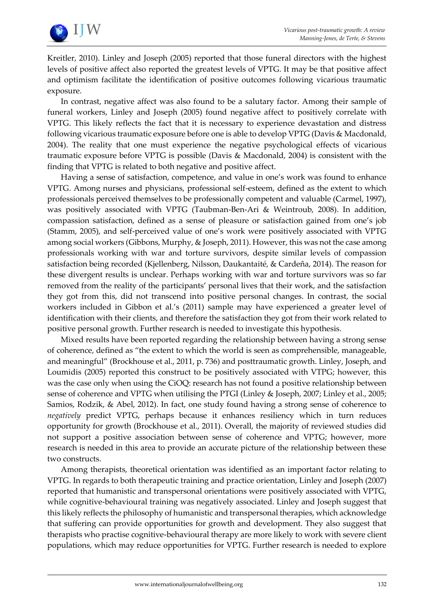

Kreitler, 2010). Linley and Joseph (2005) reported that those funeral directors with the highest levels of positive affect also reported the greatest levels of VPTG. It may be that positive affect and optimism facilitate the identification of positive outcomes following vicarious traumatic exposure.

In contrast, negative affect was also found to be a salutary factor. Among their sample of funeral workers, Linley and Joseph (2005) found negative affect to positively correlate with VPTG. This likely reflects the fact that it is necessary to experience devastation and distress following vicarious traumatic exposure before one is able to develop VPTG (Davis & Macdonald, 2004). The reality that one must experience the negative psychological effects of vicarious traumatic exposure before VPTG is possible (Davis & Macdonald, 2004) is consistent with the finding that VPTG is related to both negative and positive affect.

Having a sense of satisfaction, competence, and value in one's work was found to enhance VPTG. Among nurses and physicians, professional self-esteem, defined as the extent to which professionals perceived themselves to be professionally competent and valuable (Carmel, 1997), was positively associated with VPTG (Taubman-Ben-Ari & Weintroub, 2008). In addition, compassion satisfaction, defined as a sense of pleasure or satisfaction gained from one's job (Stamm, 2005), and self-perceived value of one's work were positively associated with VPTG among social workers (Gibbons, Murphy, & Joseph, 2011). However, this was not the case among professionals working with war and torture survivors, despite similar levels of compassion satisfaction being recorded (Kjellenberg, Nilsson, Daukantaité, & Cardeña, 2014). The reason for these divergent results is unclear. Perhaps working with war and torture survivors was so far removed from the reality of the participants' personal lives that their work, and the satisfaction they got from this, did not transcend into positive personal changes. In contrast, the social workers included in Gibbon et al.'s (2011) sample may have experienced a greater level of identification with their clients, and therefore the satisfaction they got from their work related to positive personal growth. Further research is needed to investigate this hypothesis.

Mixed results have been reported regarding the relationship between having a strong sense of coherence, defined as "the extent to which the world is seen as comprehensible, manageable, and meaningful" (Brockhouse et al., 2011, p. 736) and posttraumatic growth. Linley, Joseph, and Loumidis (2005) reported this construct to be positively associated with VTPG; however, this was the case only when using the CiOQ: research has not found a positive relationship between sense of coherence and VPTG when utilising the PTGI (Linley & Joseph, 2007; Linley et al., 2005; Samios, Rodzik, & Abel, 2012). In fact, one study found having a strong sense of coherence to *negatively* predict VPTG, perhaps because it enhances resiliency which in turn reduces opportunity for growth (Brockhouse et al., 2011). Overall, the majority of reviewed studies did not support a positive association between sense of coherence and VPTG; however, more research is needed in this area to provide an accurate picture of the relationship between these two constructs.

Among therapists, theoretical orientation was identified as an important factor relating to VPTG. In regards to both therapeutic training and practice orientation, Linley and Joseph (2007) reported that humanistic and transpersonal orientations were positively associated with VPTG, while cognitive-behavioural training was negatively associated. Linley and Joseph suggest that this likely reflects the philosophy of humanistic and transpersonal therapies, which acknowledge that suffering can provide opportunities for growth and development. They also suggest that therapists who practise cognitive-behavioural therapy are more likely to work with severe client populations, which may reduce opportunities for VPTG. Further research is needed to explore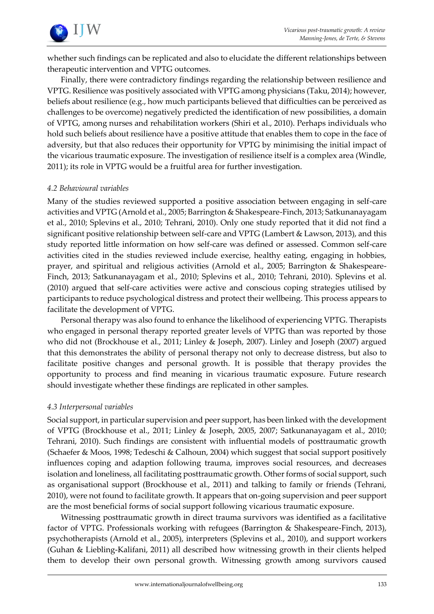

whether such findings can be replicated and also to elucidate the different relationships between therapeutic intervention and VPTG outcomes.

Finally, there were contradictory findings regarding the relationship between resilience and VPTG. Resilience was positively associated with VPTG among physicians (Taku, 2014); however, beliefs about resilience (e.g., how much participants believed that difficulties can be perceived as challenges to be overcome) negatively predicted the identification of new possibilities, a domain of VPTG, among nurses and rehabilitation workers (Shiri et al., 2010). Perhaps individuals who hold such beliefs about resilience have a positive attitude that enables them to cope in the face of adversity, but that also reduces their opportunity for VPTG by minimising the initial impact of the vicarious traumatic exposure. The investigation of resilience itself is a complex area (Windle, 2011); its role in VPTG would be a fruitful area for further investigation.

# *4.2 Behavioural variables*

Many of the studies reviewed supported a positive association between engaging in self-care activities and VPTG (Arnold et al., 2005; Barrington & Shakespeare-Finch, 2013; Satkunanayagam et al., 2010; Splevins et al., 2010; Tehrani, 2010). Only one study reported that it did not find a significant positive relationship between self-care and VPTG (Lambert & Lawson, 2013), and this study reported little information on how self-care was defined or assessed. Common self-care activities cited in the studies reviewed include exercise, healthy eating, engaging in hobbies, prayer, and spiritual and religious activities (Arnold et al., 2005; Barrington & Shakespeare-Finch, 2013; Satkunanayagam et al., 2010; Splevins et al., 2010; Tehrani, 2010). Splevins et al. (2010) argued that self-care activities were active and conscious coping strategies utilised by participants to reduce psychological distress and protect their wellbeing. This process appears to facilitate the development of VPTG.

Personal therapy was also found to enhance the likelihood of experiencing VPTG. Therapists who engaged in personal therapy reported greater levels of VPTG than was reported by those who did not (Brockhouse et al., 2011; Linley & Joseph, 2007). Linley and Joseph (2007) argued that this demonstrates the ability of personal therapy not only to decrease distress, but also to facilitate positive changes and personal growth. It is possible that therapy provides the opportunity to process and find meaning in vicarious traumatic exposure. Future research should investigate whether these findings are replicated in other samples.

## *4.3 Interpersonal variables*

Social support, in particular supervision and peer support, has been linked with the development of VPTG (Brockhouse et al., 2011; Linley & Joseph, 2005, 2007; Satkunanayagam et al., 2010; Tehrani, 2010). Such findings are consistent with influential models of posttraumatic growth (Schaefer & Moos, 1998; Tedeschi & Calhoun, 2004) which suggest that social support positively influences coping and adaption following trauma, improves social resources, and decreases isolation and loneliness, all facilitating posttraumatic growth. Other forms of social support, such as organisational support (Brockhouse et al., 2011) and talking to family or friends (Tehrani, 2010), were not found to facilitate growth. It appears that on-going supervision and peer support are the most beneficial forms of social support following vicarious traumatic exposure.

Witnessing posttraumatic growth in direct trauma survivors was identified as a facilitative factor of VPTG. Professionals working with refugees (Barrington & Shakespeare-Finch, 2013), psychotherapists (Arnold et al., 2005), interpreters (Splevins et al., 2010), and support workers (Guhan & Liebling-Kalifani, 2011) all described how witnessing growth in their clients helped them to develop their own personal growth. Witnessing growth among survivors caused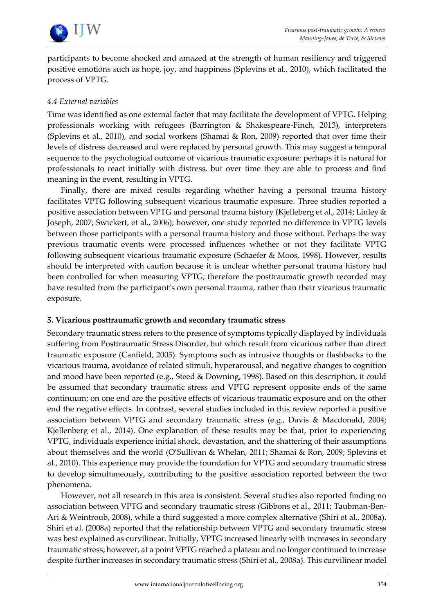

participants to become shocked and amazed at the strength of human resiliency and triggered positive emotions such as hope, joy, and happiness (Splevins et al., 2010), which facilitated the process of VPTG.

# *4.4 External variables*

Time was identified as one external factor that may facilitate the development of VPTG. Helping professionals working with refugees (Barrington & Shakespeare-Finch, 2013), interpreters (Splevins et al., 2010), and social workers (Shamai & Ron, 2009) reported that over time their levels of distress decreased and were replaced by personal growth. This may suggest a temporal sequence to the psychological outcome of vicarious traumatic exposure: perhaps it is natural for professionals to react initially with distress, but over time they are able to process and find meaning in the event, resulting in VPTG.

Finally, there are mixed results regarding whether having a personal trauma history facilitates VPTG following subsequent vicarious traumatic exposure. Three studies reported a positive association between VPTG and personal trauma history (Kjelleberg et al., 2014; Linley & Joseph, 2007; Swickert, et al., 2006); however, one study reported no difference in VPTG levels between those participants with a personal trauma history and those without. Perhaps the way previous traumatic events were processed influences whether or not they facilitate VPTG following subsequent vicarious traumatic exposure (Schaefer & Moos, 1998). However, results should be interpreted with caution because it is unclear whether personal trauma history had been controlled for when measuring VPTG; therefore the posttraumatic growth recorded may have resulted from the participant's own personal trauma, rather than their vicarious traumatic exposure.

## **5. Vicarious posttraumatic growth and secondary traumatic stress**

Secondary traumatic stress refers to the presence of symptoms typically displayed by individuals suffering from Posttraumatic Stress Disorder, but which result from vicarious rather than direct traumatic exposure (Canfield, 2005). Symptoms such as intrusive thoughts or flashbacks to the vicarious trauma, avoidance of related stimuli, hyperarousal, and negative changes to cognition and mood have been reported (e.g., Steed & Downing, 1998). Based on this description, it could be assumed that secondary traumatic stress and VPTG represent opposite ends of the same continuum; on one end are the positive effects of vicarious traumatic exposure and on the other end the negative effects. In contrast, several studies included in this review reported a positive association between VPTG and secondary traumatic stress (e.g., Davis & Macdonald, 2004; Kjellenberg et al., 2014). One explanation of these results may be that, prior to experiencing VPTG, individuals experience initial shock, devastation, and the shattering of their assumptions about themselves and the world (O'Sullivan & Whelan, 2011; Shamai & Ron, 2009; Splevins et al., 2010). This experience may provide the foundation for VPTG and secondary traumatic stress to develop simultaneously, contributing to the positive association reported between the two phenomena.

However, not all research in this area is consistent. Several studies also reported finding no association between VPTG and secondary traumatic stress (Gibbons et al., 2011; Taubman-Ben-Ari & Weintroub, 2008), while a third suggested a more complex alternative (Shiri et al., 2008a). Shiri et al. (2008a) reported that the relationship between VPTG and secondary traumatic stress was best explained as curvilinear. Initially, VPTG increased linearly with increases in secondary traumatic stress; however, at a point VPTG reached a plateau and no longer continued to increase despite further increases in secondary traumatic stress (Shiri et al., 2008a). This curvilinear model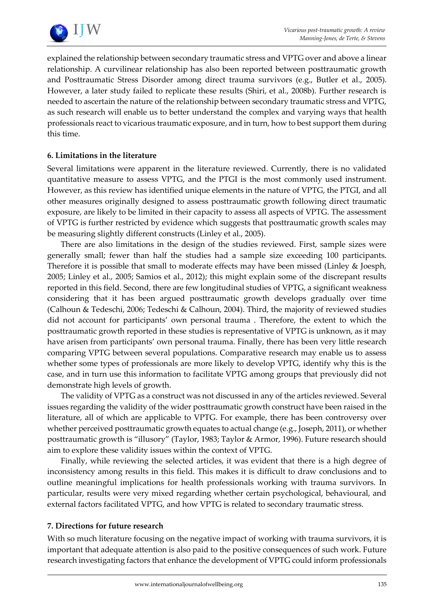

explained the relationship between secondary traumatic stress and VPTG over and above a linear relationship. A curvilinear relationship has also been reported between posttraumatic growth and Posttraumatic Stress Disorder among direct trauma survivors (e.g., Butler et al., 2005). However, a later study failed to replicate these results (Shiri, et al., 2008b). Further research is needed to ascertain the nature of the relationship between secondary traumatic stress and VPTG, as such research will enable us to better understand the complex and varying ways that health professionals react to vicarious traumatic exposure, and in turn, how to best support them during this time.

# **6. Limitations in the literature**

Several limitations were apparent in the literature reviewed. Currently, there is no validated quantitative measure to assess VPTG, and the PTGI is the most commonly used instrument. However, as this review has identified unique elements in the nature of VPTG, the PTGI, and all other measures originally designed to assess posttraumatic growth following direct traumatic exposure, are likely to be limited in their capacity to assess all aspects of VPTG. The assessment of VPTG is further restricted by evidence which suggests that posttraumatic growth scales may be measuring slightly different constructs (Linley et al., 2005).

There are also limitations in the design of the studies reviewed. First, sample sizes were generally small; fewer than half the studies had a sample size exceeding 100 participants. Therefore it is possible that small to moderate effects may have been missed (Linley & Joesph, 2005; Linley et al., 2005; Samios et al., 2012); this might explain some of the discrepant results reported in this field. Second, there are few longitudinal studies of VPTG, a significant weakness considering that it has been argued posttraumatic growth develops gradually over time (Calhoun & Tedeschi, 2006; Tedeschi & Calhoun, 2004). Third, the majority of reviewed studies did not account for participants' own personal trauma . Therefore, the extent to which the posttraumatic growth reported in these studies is representative of VPTG is unknown, as it may have arisen from participants' own personal trauma. Finally, there has been very little research comparing VPTG between several populations. Comparative research may enable us to assess whether some types of professionals are more likely to develop VPTG, identify why this is the case, and in turn use this information to facilitate VPTG among groups that previously did not demonstrate high levels of growth.

The validity of VPTG as a construct was not discussed in any of the articles reviewed. Several issues regarding the validity of the wider posttraumatic growth construct have been raised in the literature, all of which are applicable to VPTG. For example, there has been controversy over whether perceived posttraumatic growth equates to actual change (e.g., Joseph, 2011), or whether posttraumatic growth is "illusory" (Taylor, 1983; Taylor & Armor, 1996). Future research should aim to explore these validity issues within the context of VPTG.

Finally, while reviewing the selected articles, it was evident that there is a high degree of inconsistency among results in this field. This makes it is difficult to draw conclusions and to outline meaningful implications for health professionals working with trauma survivors. In particular, results were very mixed regarding whether certain psychological, behavioural, and external factors facilitated VPTG, and how VPTG is related to secondary traumatic stress.

## **7. Directions for future research**

With so much literature focusing on the negative impact of working with trauma survivors, it is important that adequate attention is also paid to the positive consequences of such work. Future research investigating factors that enhance the development of VPTG could inform professionals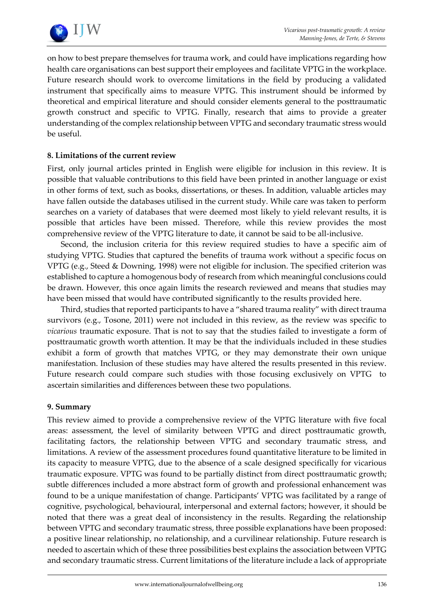

on how to best prepare themselves for trauma work, and could have implications regarding how health care organisations can best support their employees and facilitate VPTG in the workplace. Future research should work to overcome limitations in the field by producing a validated instrument that specifically aims to measure VPTG. This instrument should be informed by theoretical and empirical literature and should consider elements general to the posttraumatic growth construct and specific to VPTG. Finally, research that aims to provide a greater understanding of the complex relationship between VPTG and secondary traumatic stress would be useful.

# **8. Limitations of the current review**

First, only journal articles printed in English were eligible for inclusion in this review. It is possible that valuable contributions to this field have been printed in another language or exist in other forms of text, such as books, dissertations, or theses. In addition, valuable articles may have fallen outside the databases utilised in the current study. While care was taken to perform searches on a variety of databases that were deemed most likely to yield relevant results, it is possible that articles have been missed. Therefore, while this review provides the most comprehensive review of the VPTG literature to date, it cannot be said to be all-inclusive.

Second, the inclusion criteria for this review required studies to have a specific aim of studying VPTG. Studies that captured the benefits of trauma work without a specific focus on VPTG (e.g., Steed & Downing, 1998) were not eligible for inclusion. The specified criterion was established to capture a homogenous body of research from which meaningful conclusions could be drawn. However, this once again limits the research reviewed and means that studies may have been missed that would have contributed significantly to the results provided here.

Third, studies that reported participants to have a "shared trauma reality" with direct trauma survivors (e.g., Tosone, 2011) were not included in this review, as the review was specific to *vicarious* traumatic exposure. That is not to say that the studies failed to investigate a form of posttraumatic growth worth attention. It may be that the individuals included in these studies exhibit a form of growth that matches VPTG, or they may demonstrate their own unique manifestation. Inclusion of these studies may have altered the results presented in this review. Future research could compare such studies with those focusing exclusively on VPTG to ascertain similarities and differences between these two populations.

## **9. Summary**

This review aimed to provide a comprehensive review of the VPTG literature with five focal areas: assessment, the level of similarity between VPTG and direct posttraumatic growth, facilitating factors, the relationship between VPTG and secondary traumatic stress, and limitations. A review of the assessment procedures found quantitative literature to be limited in its capacity to measure VPTG, due to the absence of a scale designed specifically for vicarious traumatic exposure. VPTG was found to be partially distinct from direct posttraumatic growth; subtle differences included a more abstract form of growth and professional enhancement was found to be a unique manifestation of change. Participants' VPTG was facilitated by a range of cognitive, psychological, behavioural, interpersonal and external factors; however, it should be noted that there was a great deal of inconsistency in the results. Regarding the relationship between VPTG and secondary traumatic stress, three possible explanations have been proposed: a positive linear relationship, no relationship, and a curvilinear relationship. Future research is needed to ascertain which of these three possibilities best explains the association between VPTG and secondary traumatic stress. Current limitations of the literature include a lack of appropriate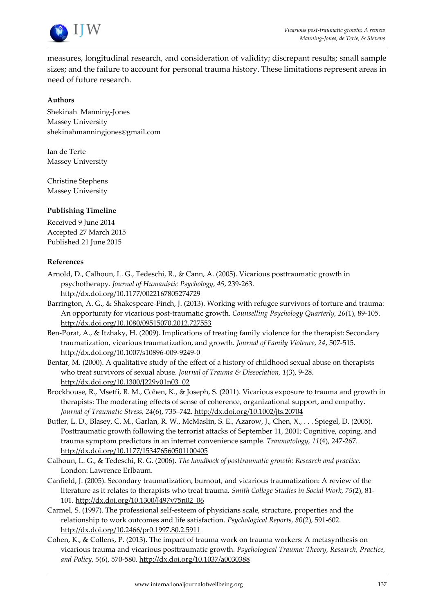

measures, longitudinal research, and consideration of validity; discrepant results; small sample sizes; and the failure to account for personal trauma history. These limitations represent areas in need of future research.

#### **Authors**

Shekinah Manning-Jones Massey University [shekinahmanningjones@gmail.com](mailto:shekinahmanningjones@gmail.com)

Ian de Terte Massey University

Christine Stephens Massey University

#### **Publishing Timeline**

Received 9 June 2014 Accepted 27 March 2015 Published 21 June 2015

#### **References**

- Arnold, D., Calhoun, L. G., Tedeschi, R., & Cann, A. (2005). Vicarious posttraumatic growth in psychotherapy. *Journal of Humanistic Psychology, 45*, 239-263. <http://dx.doi.org/10.1177/0022167805274729>
- Barrington, A. G., & Shakespeare-Finch, J. (2013). Working with refugee survivors of torture and trauma: An opportunity for vicarious post-traumatic growth. *Counselling Psychology Quarterly, 26*(1), 89-105. <http://dx.doi.org/10.1080/09515070.2012.727553>
- Ben-Porat, A., & Itzhaky, H. (2009). Implications of treating family violence for the therapist: Secondary traumatization, vicarious traumatization, and growth. *Journal of Family Violence, 24*, 507-515. <http://dx.doi.org/10.1007/s10896-009-9249-0>
- Bentar, M. (2000). A qualitative study of the effect of a history of childhood sexual abuse on therapists who treat survivors of sexual abuse. *Journal of Trauma & Dissociation, 1*(3), 9-28. [http://dx.doi.org/10.1300/J229v01n03\\_02](http://dx.doi.org/10.1300/J229v01n03_02)
- Brockhouse, R., Msetfi, R. M., Cohen, K., & Joseph, S. (2011). Vicarious exposure to trauma and growth in therapists: The moderating effects of sense of coherence, organizational support, and empathy. *Journal of Traumatic Stress, 24*(6), 735–742[. http://dx.doi.org/10.1002/jts.20704](http://dx.doi.org/10.1002/jts.20704)
- Butler, L. D., Blasey, C. M., Garlan, R. W., McMaslin, S. E., Azarow, J., Chen, X., . . . Spiegel, D. (2005). Posttraumatic growth following the terrorist attacks of September 11, 2001; Cognitive, coping, and trauma symptom predictors in an internet convenience sample. *Traumatology, 11*(4), 247-267. <http://dx.doi.org/10.1177/153476560501100405>
- Calhoun, L. G., & Tedeschi, R. G. (2006). *The handbook of posttraumatic growth: Research and practice.* London: Lawrence Erlbaum.
- Canfield, J. (2005). Secondary traumatization, burnout, and vicarious traumatization: A review of the literature as it relates to therapists who treat trauma. *Smith College Studies in Social Work, 75*(2), 81- 101[. http://dx.doi.org/10.1300/J497v75n02\\_06](http://dx.doi.org/10.1300/J497v75n02_06)
- Carmel, S. (1997). The professional self-esteem of physicians scale, structure, properties and the relationship to work outcomes and life satisfaction. *Psychological Reports, 80*(2), 591-602. [http://dx.doi.org/10.2466/pr0.1997.80.2.5911](http://dx.doi.org/10.2466/pr0.1997.80.2.591)
- Cohen, K., & Collens, P. (2013). The impact of trauma work on trauma workers: A metasynthesis on vicarious trauma and vicarious posttraumatic growth. *Psychological Trauma: Theory, Research, Practice, and Policy, 5*(6), 570-580.<http://dx.doi.org/10.1037/a0030388>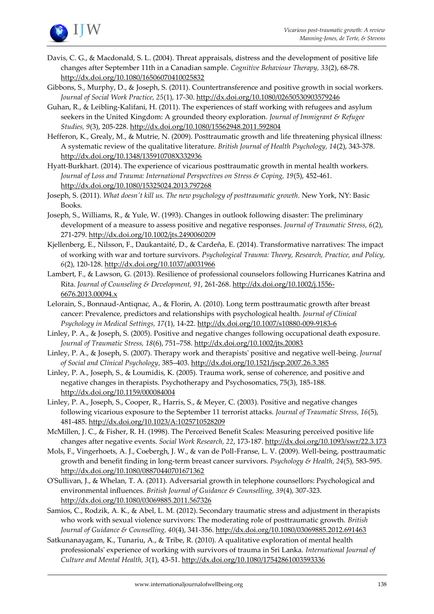

- Davis, C. G., & Macdonald, S. L. (2004). Threat appraisals, distress and the development of positive life changes after September 11th in a Canadian sample. *Cognitive Behaviour Therapy, 33*(2), 68-78. <http://dx.doi.org/10.1080/16506070410025832>
- Gibbons, S., Murphy, D., & Joseph, S. (2011). Countertransference and positive growth in social workers. *Journal of Social Work Practice, 25*(1), 17-30[. http://dx.doi.org/10.1080/02650530903579246](http://dx.doi.org/10.1080/02650530903579246)
- Guhan, R., & Leibling-Kalifani, H. (2011). The experiences of staff working with refugees and asylum seekers in the United Kingdom: A grounded theory exploration. *Journal of Immigrant & Refugee Studies, 9*(3), 205-228[. http://dx.doi.org/10.1080/15562948.2011.592804](http://dx.doi.org/10.1080/15562948.2011.592804)
- Hefferon, K., Grealy, M., & Mutrie, N. (2009). Posttraumatic growth and life threatening physical illness: A systematic review of the qualitative literature. *British Journal of Health Psychology, 14*(2), 343-378. <http://dx.doi.org/10.1348/135910708X332936>
- Hyatt-Burkhart. (2014). The experience of vicarious posttraumatic growth in mental health workers. *Journal of Loss and Trauma: International Perspectives on Stress & Coping, 19*(5), 452-461. <http://dx.doi.org/10.1080/15325024.2013.797268>
- Joseph, S. (2011). *What doesn't kill us. The new psychology of posttraumatic growth.* New York, NY: Basic Books.
- Joseph, S., Williams, R., & Yule, W. (1993). Changes in outlook following disaster: The preliminary development of a measure to assess positive and negative responses. *Journal of Traumatic Stress, 6*(2), 271-279[. http://dx.doi.org/10.1002/jts.2490060209](http://dx.doi.org/10.1002/jts.2490060209)
- Kjellenberg, E., Nilsson, F., Daukantaité, D., & Cardeña, E. (2014). Transformative narratives: The impact of working with war and torture survivors. *Psychological Trauma: Theory, Research, Practice, and Policy, 6*(2), 120-128.<http://dx.doi.org/10.1037/a0031966>
- Lambert, F., & Lawson, G. (2013). Resilience of professional counselors following Hurricanes Katrina and Rita. *Journal of Counseling & Development, 91*, 261-268. [http://dx.doi.org/10.1002/j.1556-](http://dx.doi.org/10.1002/j.1556-6676.2013.00094.x) [6676.2013.00094.x](http://dx.doi.org/10.1002/j.1556-6676.2013.00094.x)
- Lelorain, S., Bonnaud-Antiqnac, A., & Florin, A. (2010). Long term posttraumatic growth after breast cancer: Prevalence, predictors and relationships with psychological health. *Journal of Clinical Psychology in Medical Settings, 17*(1), 14-22[. http://dx.doi.org/10.1007/s10880-009-9183-6](http://dx.doi.org/10.1007/s10880-009-9183-6)
- Linley, P. A., & Joseph, S. (2005). Positive and negative changes following occupational death exposure. *Journal of Traumatic Stress, 18*(6), 751–758[. http://dx.doi.org/10.1002/jts.20083](http://dx.doi.org/10.1002/jts.20083)
- Linley, P. A., & Joseph, S. (2007). Therapy work and therapists' positive and negative well-being. *Journal of Social and Clinical Psychology*, 385–403.<http://dx.doi.org/10.1521/jscp.2007.26.3.385>
- Linley, P. A., Joseph, S., & Loumidis, K. (2005). Trauma work, sense of coherence, and positive and negative changes in therapists. Psychotherapy and Psychosomatics, 75(3), 185-188. <http://dx.doi.org/10.1159/000084004>
- Linley, P. A., Joseph, S., Cooper, R., Harris, S., & Meyer, C. (2003). Positive and negative changes following vicarious exposure to the September 11 terrorist attacks. *Journal of Traumatic Stress, 16*(5), 481-485[. http://dx.doi.org/10.1023/A:1025710528209](http://dx.doi.org/10.1023/A:1025710528209)
- McMillen, J. C., & Fisher, R. H. (1998). The Perceived Benefit Scales: Measuring perceived positive life changes after negative events. *Social Work Research, 22*, 173-187[. http://dx.doi.org/10.1093/swr/22.3.173](http://dx.doi.org/10.1093/swr/22.3.173)
- Mols, F., Vingerhoets, A. J., Coebergh, J. W., & van de Poll-Franse, L. V. (2009). Well-being, posttraumatic growth and benefit finding in long-term breast cancer survivors. *Psychology & Health, 24*(5), 583-595. <http://dx.doi.org/10.1080/08870440701671362>
- O'Sullivan, J., & Whelan, T. A. (2011). Adversarial growth in telephone counsellors: Psychological and environmental influences. *British Journal of Guidance & Counselling, 39*(4), 307-323. <http://dx.doi.org/10.1080/03069885.2011.567326>
- Samios, C., Rodzik, A. K., & Abel, L. M. (2012). Secondary traumatic stress and adjustment in therapists who work with sexual violence survivors: The moderating role of posttraumatic growth. *British Journal of Guidance & Counselling, 40*(4), 341-356.<http://dx.doi.org/10.1080/03069885.2012.691463>
- Satkunanayagam, K., Tunariu, A., & Tribe, R. (2010). A qualitative exploration of mental health professionals' experience of working with survivors of trauma in Sri Lanka. *International Journal of Culture and Mental Health, 3*(1), 43-51.<http://dx.doi.org/10.1080/17542861003593336>